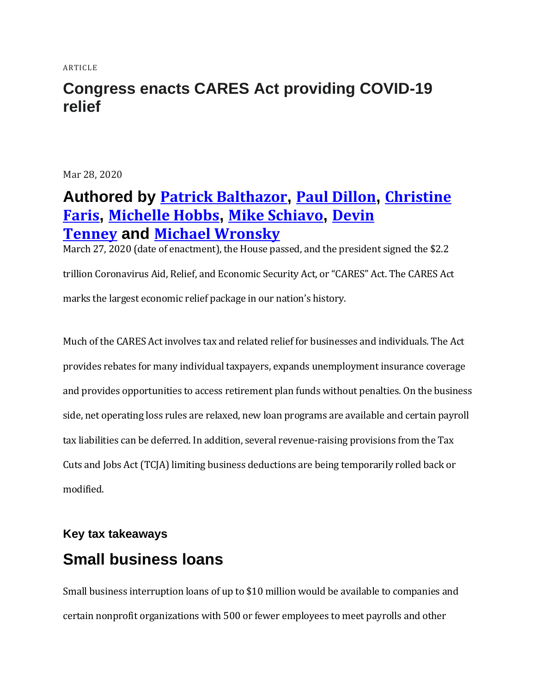ARTICLE

### **Congress enacts CARES Act providing COVID-19 relief**

Mar 28, 2020

# **Authored by Patrick [Balthazor](https://www.bakertilly.com/contact), Paul [Dillon](https://www.bakertilly.com/contact), [Christine](https://www.bakertilly.com/contact) [Faris](https://www.bakertilly.com/contact), [Michelle](https://www.bakertilly.com/contact) Hobbs, Mike [Schiavo](https://www.bakertilly.com/contact), [Devin](https://www.bakertilly.com/contact) [Tenney](https://www.bakertilly.com/contact) and Michael [Wronsky](https://www.bakertilly.com/contact)**

March 27, 2020 (date of enactment), the House passed, and the president signed the \$2.2 trillion Coronavirus Aid, Relief, and Economic Security Act, or "CARES" Act. The CARES Act marks the largest economic relief package in our nation's history.

Much of the CARES Act involves tax and related relief for businesses and individuals. The Act provides rebates for many individual taxpayers, expands unemployment insurance coverage and provides opportunities to access retirement plan funds without penalties. On the business side, net operating loss rules are relaxed, new loan programs are available and certain payroll tax liabilities can be deferred. In addition, several revenue-raising provisions from the Tax Cuts and Jobs Act (TCJA) limiting business deductions are being temporarily rolled back or modified.

# **Key tax takeaways Small business loans**

Small business interruption loans of up to \$10 million would be available to companies and certain nonprofit organizations with 500 or fewer employees to meet payrolls and other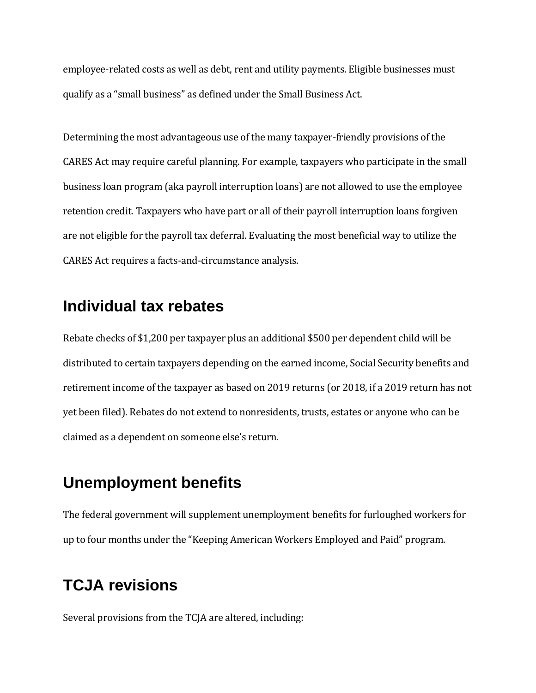employee-related costs as well as debt, rent and utility payments. Eligible businesses must qualify as a "small business" as defined under the Small Business Act.

Determining the most advantageous use of the many taxpayer-friendly provisions of the CARES Act may require careful planning. For example, taxpayers who participate in the small business loan program (aka payroll interruption loans) are not allowed to use the employee retention credit. Taxpayers who have part or all of their payroll interruption loans forgiven are not eligible for the payroll tax deferral. Evaluating the most beneficial way to utilize the CARES Act requires a facts-and-circumstance analysis.

### **Individual tax rebates**

Rebate checks of \$1,200 per taxpayer plus an additional \$500 per dependent child will be distributed to certain taxpayers depending on the earned income, Social Security benefits and retirement income of the taxpayer as based on 2019 returns (or 2018, if a 2019 return has not yet been filed). Rebates do not extend to nonresidents, trusts, estates or anyone who can be claimed as a dependent on someone else's return.

### **Unemployment benefits**

The federal government will supplement unemployment benefits for furloughed workers for up to four months under the "Keeping American Workers Employed and Paid" program.

# **TCJA revisions**

Several provisions from the TCJA are altered, including: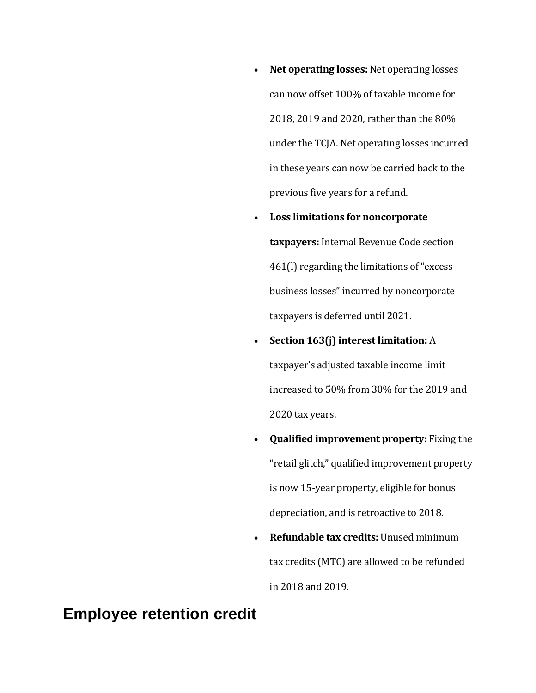- **Net operating losses:** Net operating losses can now offset 100% of taxable income for 2018, 2019 and 2020, rather than the 80% under the TCJA. Net operating losses incurred in these years can now be carried back to the previous five years for a refund.
- **Loss limitations for noncorporate taxpayers:** Internal Revenue Code section 461(l) regarding the limitations of "excess business losses" incurred by noncorporate taxpayers is deferred until 2021.
- **Section 163(j) interest limitation:** A taxpayer's adjusted taxable income limit increased to 50% from 30% for the 2019 and 2020 tax years.
- **Qualified improvement property:** Fixing the "retail glitch," qualified improvement property is now 15-year property, eligible for bonus depreciation, and is retroactive to 2018.
- **Refundable tax credits:** Unused minimum tax credits (MTC) are allowed to be refunded in 2018 and 2019.

#### **Employee retention credit**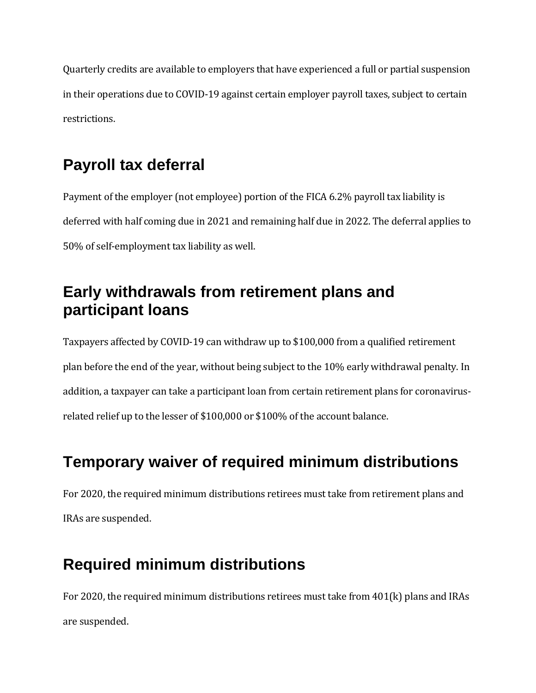Quarterly credits are available to employers that have experienced a full or partial suspension in their operations due to COVID-19 against certain employer payroll taxes, subject to certain restrictions.

# **Payroll tax deferral**

Payment of the employer (not employee) portion of the FICA 6.2% payroll tax liability is deferred with half coming due in 2021 and remaining half due in 2022. The deferral applies to 50% of self-employment tax liability as well.

# **Early withdrawals from retirement plans and participant loans**

Taxpayers affected by COVID-19 can withdraw up to \$100,000 from a qualified retirement plan before the end of the year, without being subject to the 10% early withdrawal penalty. In addition, a taxpayer can take a participant loan from certain retirement plans for coronavirusrelated relief up to the lesser of \$100,000 or \$100% of the account balance.

# **Temporary waiver of required minimum distributions**

For 2020, the required minimum distributions retirees must take from retirement plans and IRAs are suspended.

# **Required minimum distributions**

For 2020, the required minimum distributions retirees must take from 401(k) plans and IRAs are suspended.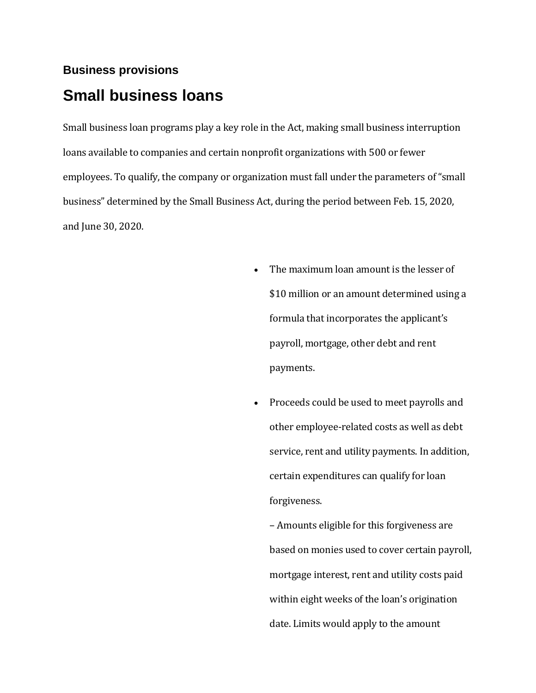# **Business provisions Small business loans**

Small business loan programs play a key role in the Act, making small business interruption loans available to companies and certain nonprofit organizations with 500 or fewer employees. To qualify, the company or organization must fall under the parameters of "small business" determined by the Small Business Act, during the period between Feb. 15, 2020, and June 30, 2020.

- The maximum loan amount is the lesser of \$10 million or an amount determined using a formula that incorporates the applicant's payroll, mortgage, other debt and rent payments.
- Proceeds could be used to meet payrolls and other employee-related costs as well as debt service, rent and utility payments. In addition, certain expenditures can qualify for loan forgiveness.

– Amounts eligible for this forgiveness are based on monies used to cover certain payroll, mortgage interest, rent and utility costs paid within eight weeks of the loan's origination date. Limits would apply to the amount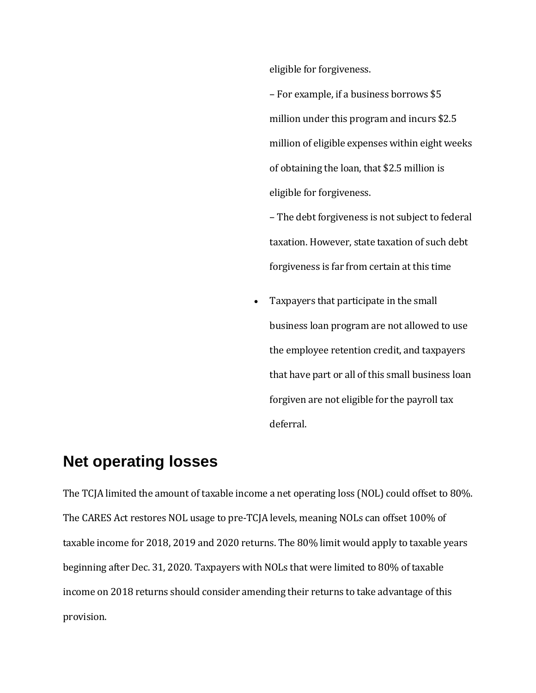eligible for forgiveness.

– For example, if a business borrows \$5 million under this program and incurs \$2.5 million of eligible expenses within eight weeks of obtaining the loan, that \$2.5 million is eligible for forgiveness.

– The debt forgiveness is not subject to federal taxation. However, state taxation of such debt forgiveness is far from certain at this time

• Taxpayers that participate in the small business loan program are not allowed to use the employee retention credit, and taxpayers that have part or all of this small business loan forgiven are not eligible for the payroll tax deferral.

#### **Net operating losses**

The TCJA limited the amount of taxable income a net operating loss (NOL) could offset to 80%. The CARES Act restores NOL usage to pre-TCJA levels, meaning NOLs can offset 100% of taxable income for 2018, 2019 and 2020 returns. The 80% limit would apply to taxable years beginning after Dec. 31, 2020. Taxpayers with NOLs that were limited to 80% of taxable income on 2018 returns should consider amending their returns to take advantage of this provision.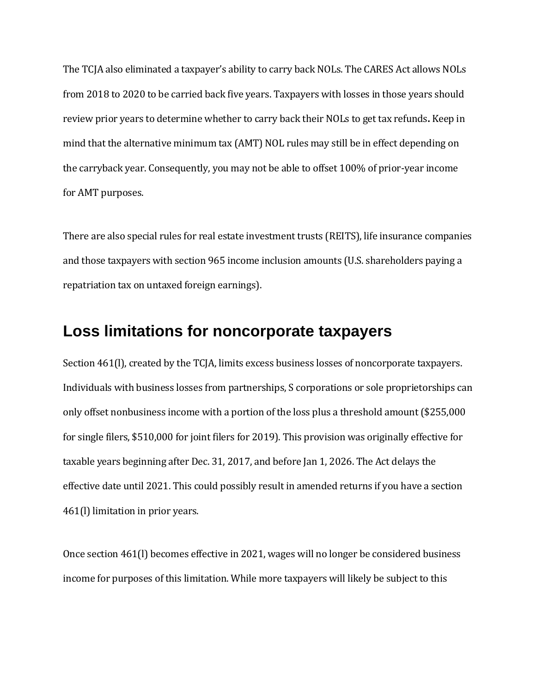The TCJA also eliminated a taxpayer's ability to carry back NOLs. The CARES Act allows NOLs from 2018 to 2020 to be carried back five years. Taxpayers with losses in those years should review prior years to determine whether to carry back their NOLs to get tax refunds**.** Keep in mind that the alternative minimum tax (AMT) NOL rules may still be in effect depending on the carryback year. Consequently, you may not be able to offset 100% of prior-year income for AMT purposes.

There are also special rules for real estate investment trusts (REITS), life insurance companies and those taxpayers with section 965 income inclusion amounts (U.S. shareholders paying a repatriation tax on untaxed foreign earnings).

#### **Loss limitations for noncorporate taxpayers**

Section 461(I), created by the TCJA, limits excess business losses of noncorporate taxpayers. Individuals with business losses from partnerships, S corporations or sole proprietorships can only offset nonbusiness income with a portion of the loss plus a threshold amount (\$255,000 for single filers, \$510,000 for joint filers for 2019). This provision was originally effective for taxable years beginning after Dec. 31, 2017, and before Jan 1, 2026. The Act delays the effective date until 2021. This could possibly result in amended returns if you have a section 461(l) limitation in prior years.

Once section 461(l) becomes effective in 2021, wages will no longer be considered business income for purposes of this limitation. While more taxpayers will likely be subject to this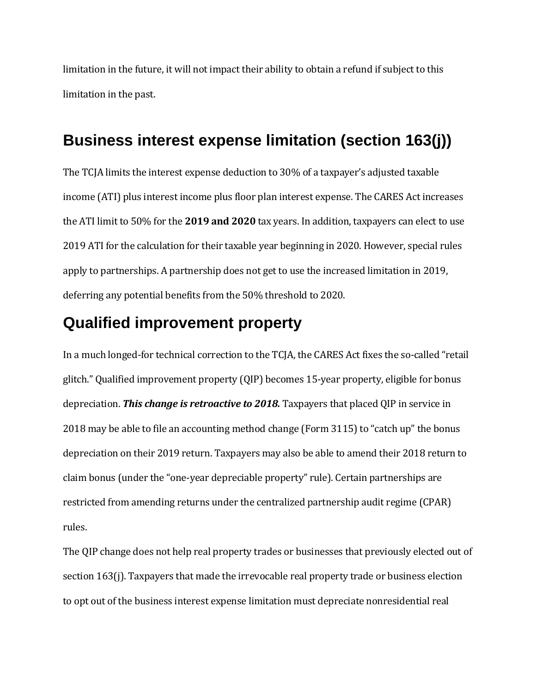limitation in the future, it will not impact their ability to obtain a refund if subject to this limitation in the past.

# **Business interest expense limitation (section 163(j))**

The TCJA limits the interest expense deduction to 30% of a taxpayer's adjusted taxable income (ATI) plus interest income plus floor plan interest expense. The CARES Act increases the ATI limit to 50% for the **2019 and 2020** tax years. In addition, taxpayers can elect to use 2019 ATI for the calculation for their taxable year beginning in 2020. However, special rules apply to partnerships. A partnership does not get to use the increased limitation in 2019, deferring any potential benefits from the 50% threshold to 2020.

### **Qualified improvement property**

In a much longed-for technical correction to the TCJA, the CARES Act fixes the so-called "retail glitch." Qualified improvement property (QIP) becomes 15-year property, eligible for bonus depreciation. *This change is retroactive to 2018.* Taxpayers that placed QIP in service in 2018 may be able to file an accounting method change (Form 3115) to "catch up" the bonus depreciation on their 2019 return. Taxpayers may also be able to amend their 2018 return to claim bonus (under the "one-year depreciable property" rule). Certain partnerships are restricted from amending returns under the centralized partnership audit regime (CPAR) rules.

The QIP change does not help real property trades or businesses that previously elected out of section 163(j). Taxpayers that made the irrevocable real property trade or business election to opt out of the business interest expense limitation must depreciate nonresidential real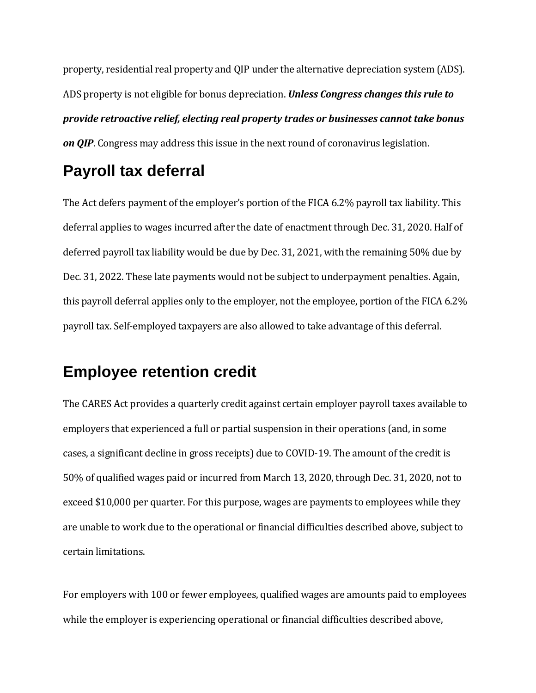property, residential real property and QIP under the alternative depreciation system (ADS). ADS property is not eligible for bonus depreciation. *Unless Congress changes this rule to provide retroactive relief, electing real property trades or businesses cannot take bonus on QIP*. Congress may address this issue in the next round of coronavirus legislation.

# **Payroll tax deferral**

The Act defers payment of the employer's portion of the FICA 6.2% payroll tax liability. This deferral applies to wages incurred after the date of enactment through Dec. 31, 2020. Half of deferred payroll tax liability would be due by Dec. 31, 2021, with the remaining 50% due by Dec. 31, 2022. These late payments would not be subject to underpayment penalties. Again, this payroll deferral applies only to the employer, not the employee, portion of the FICA 6.2% payroll tax. Self-employed taxpayers are also allowed to take advantage of this deferral.

# **Employee retention credit**

The CARES Act provides a quarterly credit against certain employer payroll taxes available to employers that experienced a full or partial suspension in their operations (and, in some cases, a significant decline in gross receipts) due to COVID-19. The amount of the credit is 50% of qualified wages paid or incurred from March 13, 2020, through Dec. 31, 2020, not to exceed \$10,000 per quarter. For this purpose, wages are payments to employees while they are unable to work due to the operational or financial difficulties described above, subject to certain limitations.

For employers with 100 or fewer employees, qualified wages are amounts paid to employees while the employer is experiencing operational or financial difficulties described above,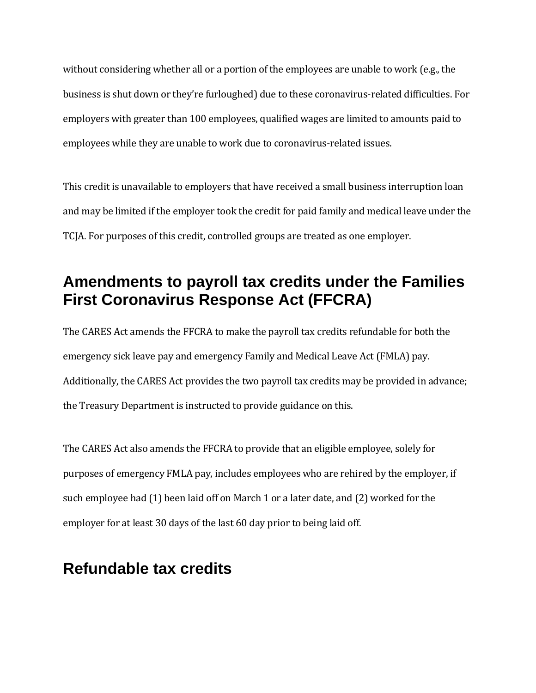without considering whether all or a portion of the employees are unable to work (e.g., the business is shut down or they're furloughed) due to these coronavirus-related difficulties. For employers with greater than 100 employees, qualified wages are limited to amounts paid to employees while they are unable to work due to coronavirus-related issues.

This credit is unavailable to employers that have received a small business interruption loan and may be limited if the employer took the credit for paid family and medical leave under the TCJA. For purposes of this credit, controlled groups are treated as one employer.

# **Amendments to payroll tax credits under the Families First Coronavirus Response Act (FFCRA)**

The CARES Act amends the FFCRA to make the payroll tax credits refundable for both the emergency sick leave pay and emergency Family and Medical Leave Act (FMLA) pay. Additionally, the CARES Act provides the two payroll tax credits may be provided in advance; the Treasury Department is instructed to provide guidance on this.

The CARES Act also amends the FFCRA to provide that an eligible employee, solely for purposes of emergency FMLA pay, includes employees who are rehired by the employer, if such employee had (1) been laid off on March 1 or a later date, and (2) worked for the employer for at least 30 days of the last 60 day prior to being laid off.

### **Refundable tax credits**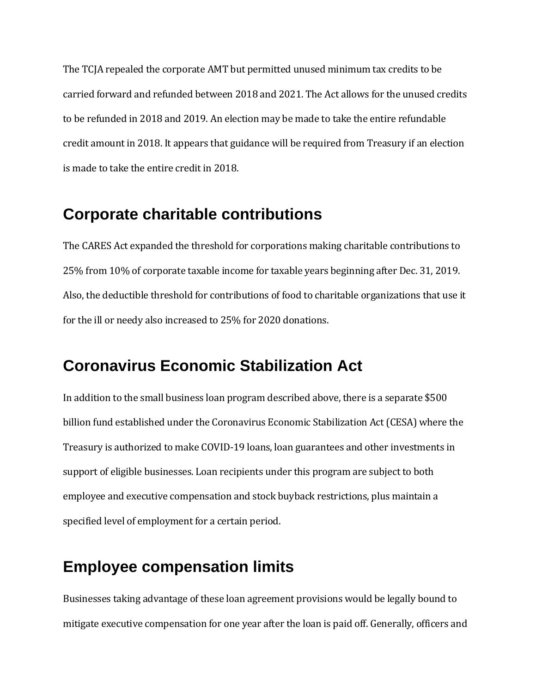The TCJA repealed the corporate AMT but permitted unused minimum tax credits to be carried forward and refunded between 2018 and 2021. The Act allows for the unused credits to be refunded in 2018 and 2019. An election may be made to take the entire refundable credit amount in 2018. It appears that guidance will be required from Treasury if an election is made to take the entire credit in 2018.

#### **Corporate charitable contributions**

The CARES Act expanded the threshold for corporations making charitable contributions to 25% from 10% of corporate taxable income for taxable years beginning after Dec. 31, 2019. Also, the deductible threshold for contributions of food to charitable organizations that use it for the ill or needy also increased to 25% for 2020 donations.

### **Coronavirus Economic Stabilization Act**

In addition to the small business loan program described above, there is a separate \$500 billion fund established under the Coronavirus Economic Stabilization Act (CESA) where the Treasury is authorized to make COVID-19 loans, loan guarantees and other investments in support of eligible businesses. Loan recipients under this program are subject to both employee and executive compensation and stock buyback restrictions, plus maintain a specified level of employment for a certain period.

### **Employee compensation limits**

Businesses taking advantage of these loan agreement provisions would be legally bound to mitigate executive compensation for one year after the loan is paid off. Generally, officers and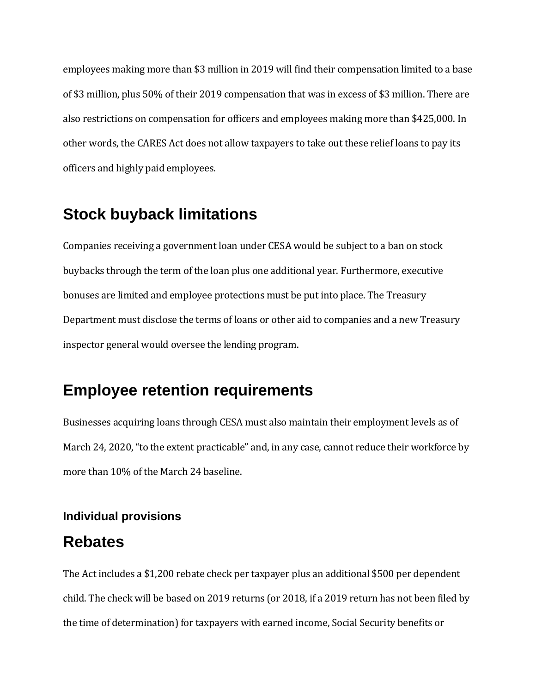employees making more than \$3 million in 2019 will find their compensation limited to a base of \$3 million, plus 50% of their 2019 compensation that was in excess of \$3 million. There are also restrictions on compensation for officers and employees making more than \$425,000. In other words, the CARES Act does not allow taxpayers to take out these relief loans to pay its officers and highly paid employees.

# **Stock buyback limitations**

Companies receiving a government loan under CESA would be subject to a ban on stock buybacks through the term of the loan plus one additional year. Furthermore, executive bonuses are limited and employee protections must be put into place. The Treasury Department must disclose the terms of loans or other aid to companies and a new Treasury inspector general would oversee the lending program.

### **Employee retention requirements**

Businesses acquiring loans through CESA must also maintain their employment levels as of March 24, 2020, "to the extent practicable" and, in any case, cannot reduce their workforce by more than 10% of the March 24 baseline.

#### **Individual provisions**

#### **Rebates**

The Act includes a \$1,200 rebate check per taxpayer plus an additional \$500 per dependent child. The check will be based on 2019 returns (or 2018, if a 2019 return has not been filed by the time of determination) for taxpayers with earned income, Social Security benefits or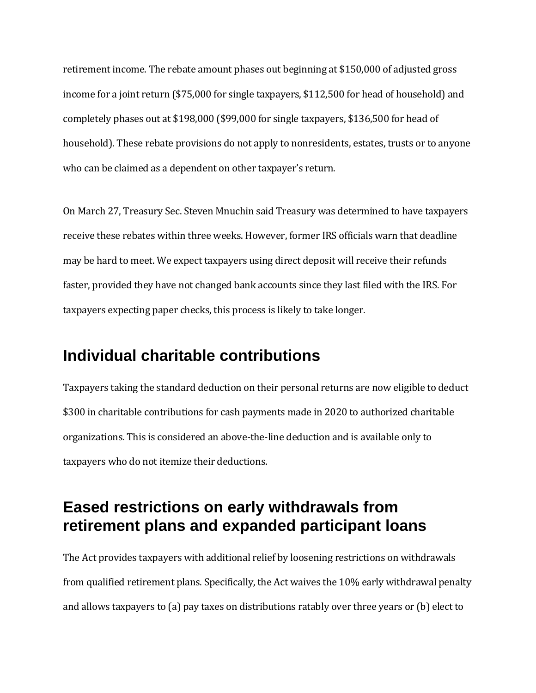retirement income. The rebate amount phases out beginning at \$150,000 of adjusted gross income for a joint return (\$75,000 for single taxpayers, \$112,500 for head of household) and completely phases out at \$198,000 (\$99,000 for single taxpayers, \$136,500 for head of household). These rebate provisions do not apply to nonresidents, estates, trusts or to anyone who can be claimed as a dependent on other taxpayer's return.

On March 27, Treasury Sec. Steven Mnuchin said Treasury was determined to have taxpayers receive these rebates within three weeks. However, former IRS officials warn that deadline may be hard to meet. We expect taxpayers using direct deposit will receive their refunds faster, provided they have not changed bank accounts since they last filed with the IRS. For taxpayers expecting paper checks, this process is likely to take longer.

### **Individual charitable contributions**

Taxpayers taking the standard deduction on their personal returns are now eligible to deduct \$300 in charitable contributions for cash payments made in 2020 to authorized charitable organizations. This is considered an above-the-line deduction and is available only to taxpayers who do not itemize their deductions.

### **Eased restrictions on early withdrawals from retirement plans and expanded participant loans**

The Act provides taxpayers with additional relief by loosening restrictions on withdrawals from qualified retirement plans. Specifically, the Act waives the 10% early withdrawal penalty and allows taxpayers to (a) pay taxes on distributions ratably over three years or (b) elect to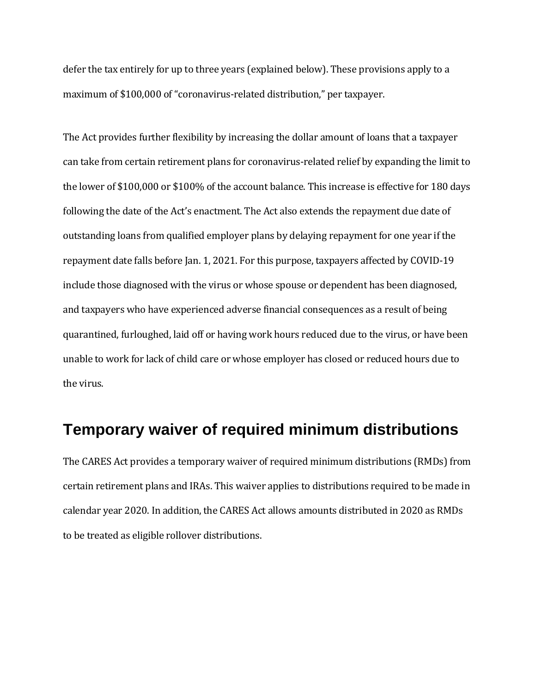defer the tax entirely for up to three years (explained below). These provisions apply to a maximum of \$100,000 of "coronavirus-related distribution," per taxpayer.

The Act provides further flexibility by increasing the dollar amount of loans that a taxpayer can take from certain retirement plans for coronavirus-related relief by expanding the limit to the lower of \$100,000 or \$100% of the account balance. This increase is effective for 180 days following the date of the Act's enactment. The Act also extends the repayment due date of outstanding loans from qualified employer plans by delaying repayment for one year if the repayment date falls before Jan. 1, 2021. For this purpose, taxpayers affected by COVID-19 include those diagnosed with the virus or whose spouse or dependent has been diagnosed, and taxpayers who have experienced adverse financial consequences as a result of being quarantined, furloughed, laid off or having work hours reduced due to the virus, or have been unable to work for lack of child care or whose employer has closed or reduced hours due to the virus.

#### **Temporary waiver of required minimum distributions**

The CARES Act provides a temporary waiver of required minimum distributions (RMDs) from certain retirement plans and IRAs. This waiver applies to distributions required to be made in calendar year 2020. In addition, the CARES Act allows amounts distributed in 2020 as RMDs to be treated as eligible rollover distributions.